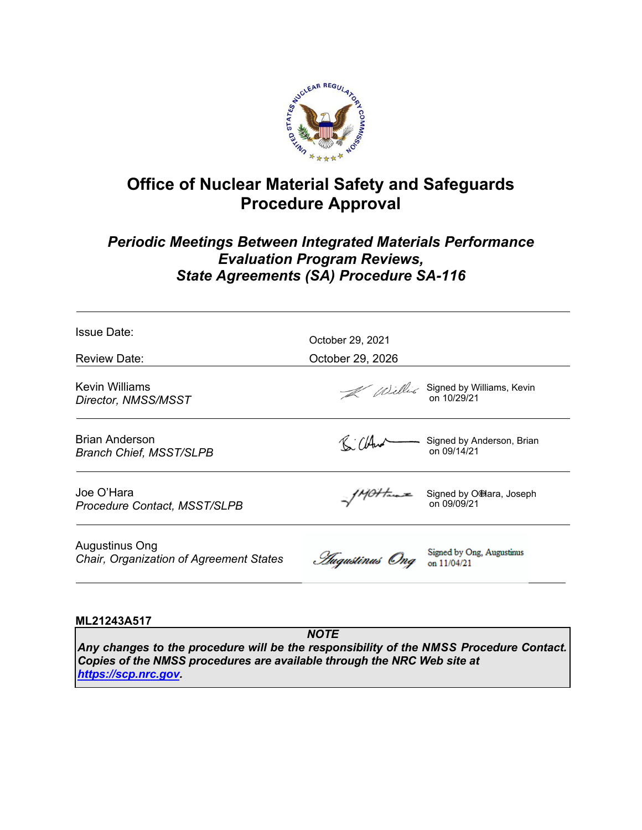

# **Office of Nuclear Material Safety and Safeguards Procedure Approval**

# *Periodic Meetings Between Integrated Materials Performance Evaluation Program Reviews, State Agreements (SA) Procedure SA-116*

| Issue Date:                                               |                                      |                                                                |
|-----------------------------------------------------------|--------------------------------------|----------------------------------------------------------------|
| Review Date:                                              | October 29, 2021<br>October 29, 2026 |                                                                |
|                                                           |                                      |                                                                |
| Kevin Williams<br>Director, NMSS/MSST                     |                                      | $\mathcal{U}$ Williams, Kevin<br>on 10/29/21                   |
| Brian Anderson<br><b>Branch Chief, MSST/SLPB</b>          | Killer                               | Signed by Anderson, Brian<br>on 09/14/21                       |
| Joe O'Hara<br><b>Procedure Contact, MSST/SLPB</b>         |                                      | $\gamma$ //0/ $\gamma$ Signed by O'Hara, Joseph<br>on 09/09/21 |
| Augustinus Ong<br>Chair, Organization of Agreement States | <i>Augustinus</i> Ong on 11/04/21    | Signed by Ong, Augustinus                                      |
|                                                           |                                      |                                                                |

# **ML21243A517**

*NOTE Any changes to the procedure will be the responsibility of the NMSS Procedure Contact. Copies of the NMSS procedures are available through the NRC Web site at <https://scp.nrc.gov>.*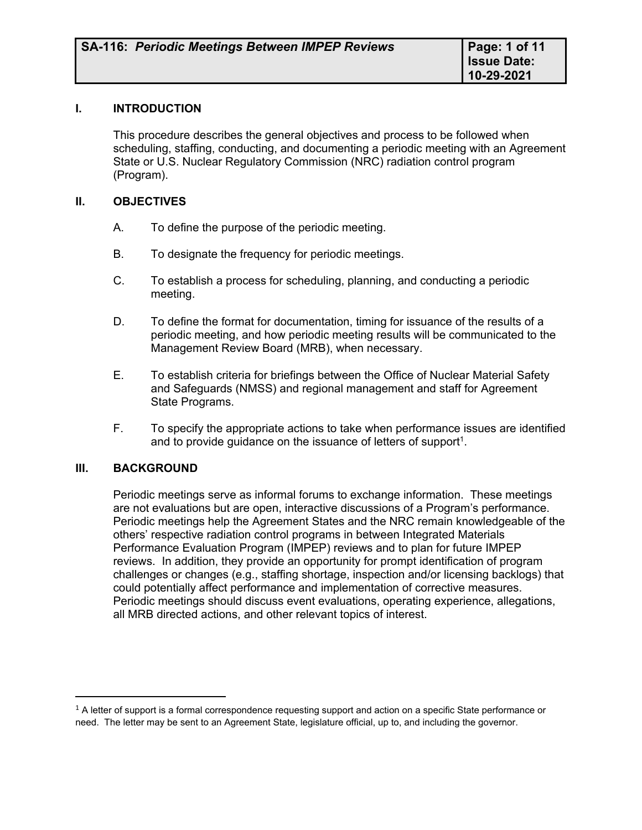#### **I. INTRODUCTION**

This procedure describes the general objectives and process to be followed when scheduling, staffing, conducting, and documenting a periodic meeting with an Agreement State or U.S. Nuclear Regulatory Commission (NRC) radiation control program (Program).

#### **II. OBJECTIVES**

- A. To define the purpose of the periodic meeting.
- B. To designate the frequency for periodic meetings.
- C. To establish a process for scheduling, planning, and conducting a periodic meeting.
- D. To define the format for documentation, timing for issuance of the results of a periodic meeting, and how periodic meeting results will be communicated to the Management Review Board (MRB), when necessary.
- E. To establish criteria for briefings between the Office of Nuclear Material Safety and Safeguards (NMSS) and regional management and staff for Agreement State Programs.
- F. To specify the appropriate actions to take when performance issues are identified and to provide guidance on the issuance of letters of support<sup>1</sup>.

#### **III. BACKGROUND**

Periodic meetings serve as informal forums to exchange information. These meetings are not evaluations but are open, interactive discussions of a Program's performance. Periodic meetings help the Agreement States and the NRC remain knowledgeable of the others' respective radiation control programs in between Integrated Materials Performance Evaluation Program (IMPEP) reviews and to plan for future IMPEP reviews. In addition, they provide an opportunity for prompt identification of program challenges or changes (e.g., staffing shortage, inspection and/or licensing backlogs) that could potentially affect performance and implementation of corrective measures. Periodic meetings should discuss event evaluations, operating experience, allegations, all MRB directed actions, and other relevant topics of interest.

 $1$  A letter of support is a formal correspondence requesting support and action on a specific State performance or need. The letter may be sent to an Agreement State, legislature official, up to, and including the governor.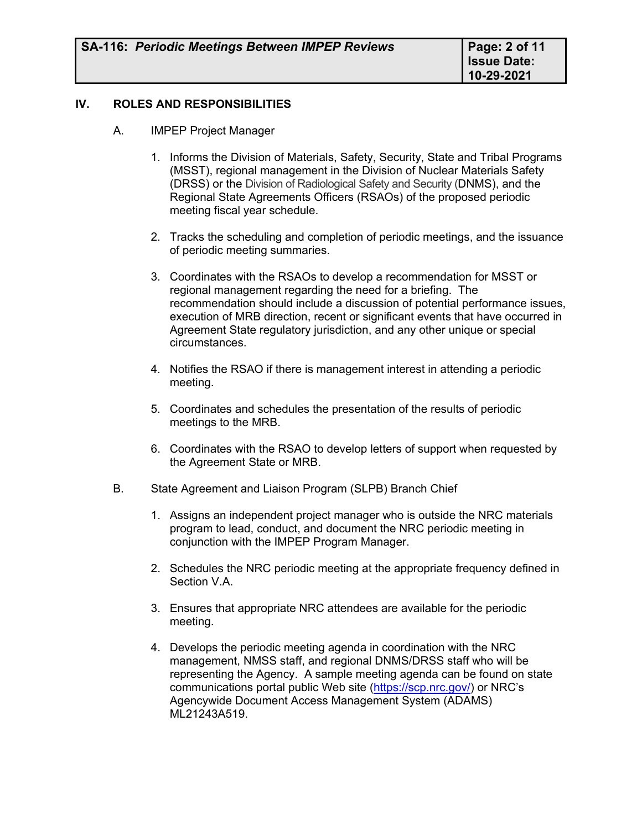# **IV. ROLES AND RESPONSIBILITIES**

- A. IMPEP Project Manager
	- 1. Informs the Division of Materials, Safety, Security, State and Tribal Programs (MSST), regional management in the Division of Nuclear Materials Safety (DRSS) or the Division of Radiological Safety and Security (DNMS), and the Regional State Agreements Officers (RSAOs) of the proposed periodic meeting fiscal year schedule.
	- 2. Tracks the scheduling and completion of periodic meetings, and the issuance of periodic meeting summaries.
	- 3. Coordinates with the RSAOs to develop a recommendation for MSST or regional management regarding the need for a briefing. The recommendation should include a discussion of potential performance issues, execution of MRB direction, recent or significant events that have occurred in Agreement State regulatory jurisdiction, and any other unique or special circumstances.
	- 4. Notifies the RSAO if there is management interest in attending a periodic meeting.
	- 5. Coordinates and schedules the presentation of the results of periodic meetings to the MRB.
	- 6. Coordinates with the RSAO to develop letters of support when requested by the Agreement State or MRB.
- B. State Agreement and Liaison Program (SLPB) Branch Chief
	- 1. Assigns an independent project manager who is outside the NRC materials program to lead, conduct, and document the NRC periodic meeting in conjunction with the IMPEP Program Manager.
	- 2. Schedules the NRC periodic meeting at the appropriate frequency defined in Section V.A.
	- 3. Ensures that appropriate NRC attendees are available for the periodic meeting.
	- 4. Develops the periodic meeting agenda in coordination with the NRC management, NMSS staff, and regional DNMS/DRSS staff who will be representing the Agency. A sample meeting agenda can be found on state communications portal public Web site [\(https://scp.nrc.gov/\)](https://scp.nrc.gov/) or NRC's Agencywide Document Access Management System (ADAMS) ML21243A519.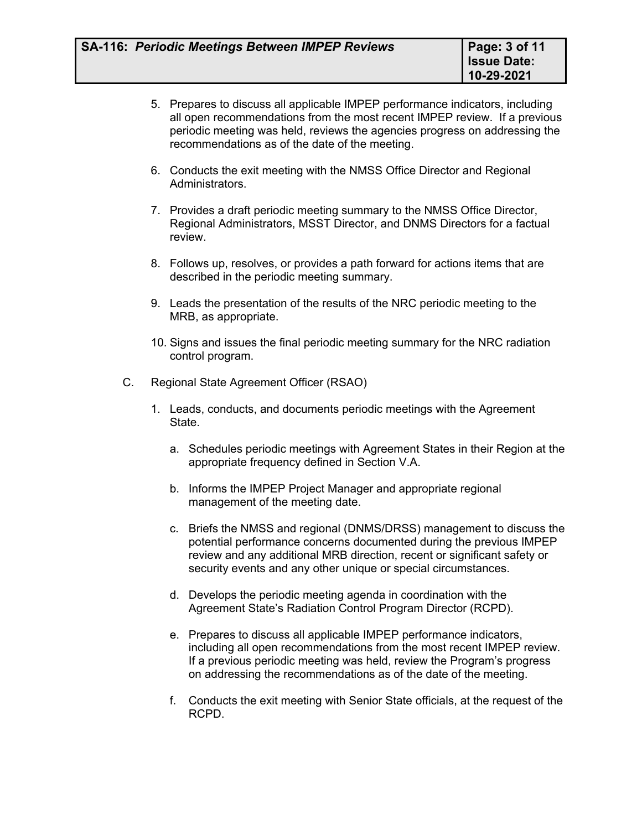- 5. Prepares to discuss all applicable IMPEP performance indicators, including all open recommendations from the most recent IMPEP review. If a previous periodic meeting was held, reviews the agencies progress on addressing the recommendations as of the date of the meeting.
- 6. Conducts the exit meeting with the NMSS Office Director and Regional Administrators.
- 7. Provides a draft periodic meeting summary to the NMSS Office Director, Regional Administrators, MSST Director, and DNMS Directors for a factual review.
- 8. Follows up, resolves, or provides a path forward for actions items that are described in the periodic meeting summary.
- 9. Leads the presentation of the results of the NRC periodic meeting to the MRB, as appropriate.
- 10. Signs and issues the final periodic meeting summary for the NRC radiation control program.
- C. Regional State Agreement Officer (RSAO)
	- 1. Leads, conducts, and documents periodic meetings with the Agreement State.
		- a. Schedules periodic meetings with Agreement States in their Region at the appropriate frequency defined in Section V.A.
		- b. Informs the IMPEP Project Manager and appropriate regional management of the meeting date.
		- c. Briefs the NMSS and regional (DNMS/DRSS) management to discuss the potential performance concerns documented during the previous IMPEP review and any additional MRB direction, recent or significant safety or security events and any other unique or special circumstances.
		- d. Develops the periodic meeting agenda in coordination with the Agreement State's Radiation Control Program Director (RCPD).
		- e. Prepares to discuss all applicable IMPEP performance indicators, including all open recommendations from the most recent IMPEP review. If a previous periodic meeting was held, review the Program's progress on addressing the recommendations as of the date of the meeting.
		- f. Conducts the exit meeting with Senior State officials, at the request of the RCPD.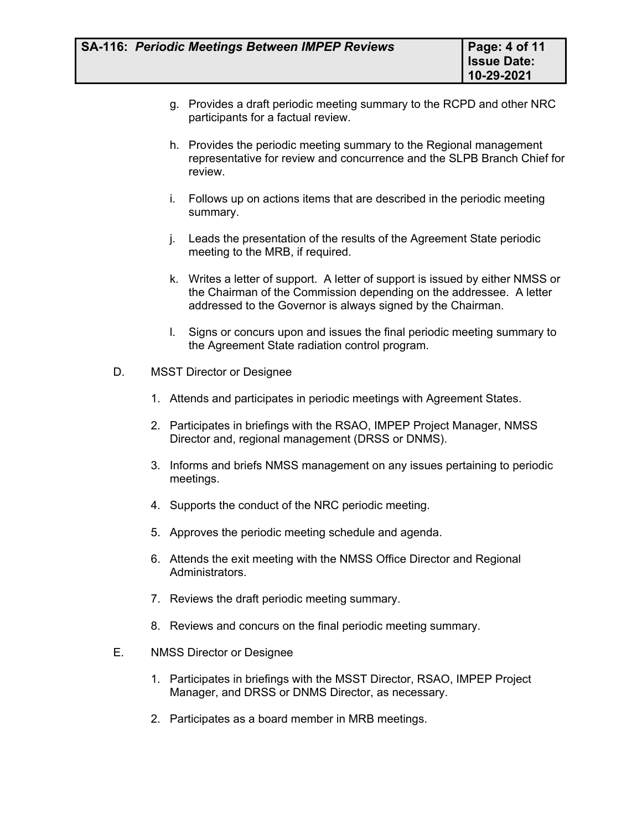- g. Provides a draft periodic meeting summary to the RCPD and other NRC participants for a factual review.
- h. Provides the periodic meeting summary to the Regional management representative for review and concurrence and the SLPB Branch Chief for review.
- i. Follows up on actions items that are described in the periodic meeting summary.
- j. Leads the presentation of the results of the Agreement State periodic meeting to the MRB, if required.
- k. Writes a letter of support. A letter of support is issued by either NMSS or the Chairman of the Commission depending on the addressee. A letter addressed to the Governor is always signed by the Chairman.
- l. Signs or concurs upon and issues the final periodic meeting summary to the Agreement State radiation control program.
- D. MSST Director or Designee
	- 1. Attends and participates in periodic meetings with Agreement States.
	- 2. Participates in briefings with the RSAO, IMPEP Project Manager, NMSS Director and, regional management (DRSS or DNMS).
	- 3. Informs and briefs NMSS management on any issues pertaining to periodic meetings.
	- 4. Supports the conduct of the NRC periodic meeting.
	- 5. Approves the periodic meeting schedule and agenda.
	- 6. Attends the exit meeting with the NMSS Office Director and Regional Administrators.
	- 7. Reviews the draft periodic meeting summary.
	- 8. Reviews and concurs on the final periodic meeting summary.
- E. NMSS Director or Designee
	- 1. Participates in briefings with the MSST Director, RSAO, IMPEP Project Manager, and DRSS or DNMS Director, as necessary.
	- 2. Participates as a board member in MRB meetings.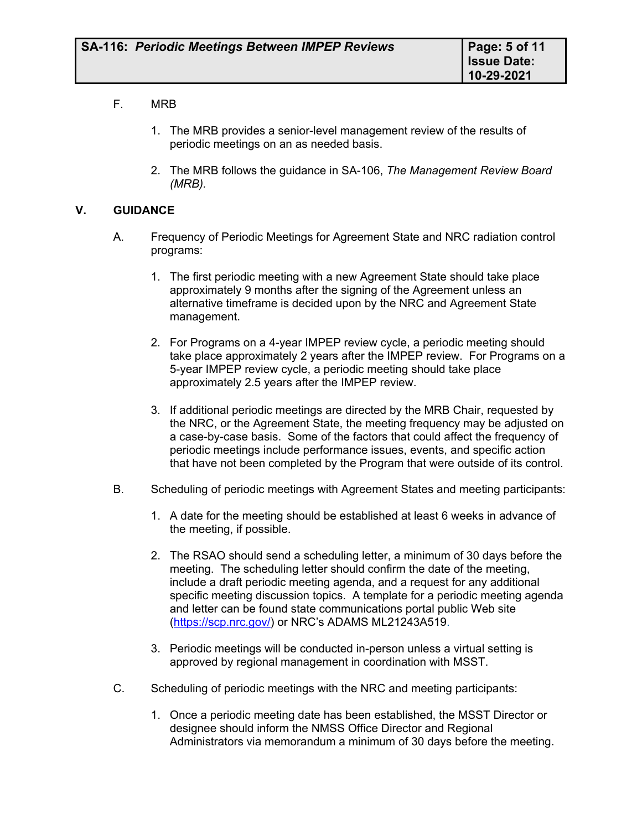# F. MRB

- 1. The MRB provides a senior-level management review of the results of periodic meetings on an as needed basis.
- 2. The MRB follows the guidance in [SA-106,](http://nrc-stp.ornl.gov/procedures/sa106.pdf) *The Management Review Board (MRB).*

#### **V. GUIDANCE**

- A. Frequency of Periodic Meetings for Agreement State and NRC radiation control programs:
	- 1. The first periodic meeting with a new Agreement State should take place approximately 9 months after the signing of the Agreement unless an alternative timeframe is decided upon by the NRC and Agreement State management.
	- 2. For Programs on a 4-year IMPEP review cycle, a periodic meeting should take place approximately 2 years after the IMPEP review. For Programs on a 5-year IMPEP review cycle, a periodic meeting should take place approximately 2.5 years after the IMPEP review.
	- 3. If additional periodic meetings are directed by the MRB Chair, requested by the NRC, or the Agreement State, the meeting frequency may be adjusted on a case-by-case basis. Some of the factors that could affect the frequency of periodic meetings include performance issues, events, and specific action that have not been completed by the Program that were outside of its control.
- B. Scheduling of periodic meetings with Agreement States and meeting participants:
	- 1. A date for the meeting should be established at least 6 weeks in advance of the meeting, if possible.
	- 2. The RSAO should send a scheduling letter, a minimum of 30 days before the meeting. The scheduling letter should confirm the date of the meeting, include a draft periodic meeting agenda, and a request for any additional specific meeting discussion topics. A template for a periodic meeting agenda and letter can be found state communications portal public Web site ([https://scp.nrc.gov/\)](https://scp.nrc.gov/) or NRC's ADAMS ML21243A519.
	- 3. Periodic meetings will be conducted in-person unless a virtual setting is approved by regional management in coordination with MSST.
- C. Scheduling of periodic meetings with the NRC and meeting participants:
	- 1. Once a periodic meeting date has been established, the MSST Director or designee should inform the NMSS Office Director and Regional Administrators via memorandum a minimum of 30 days before the meeting.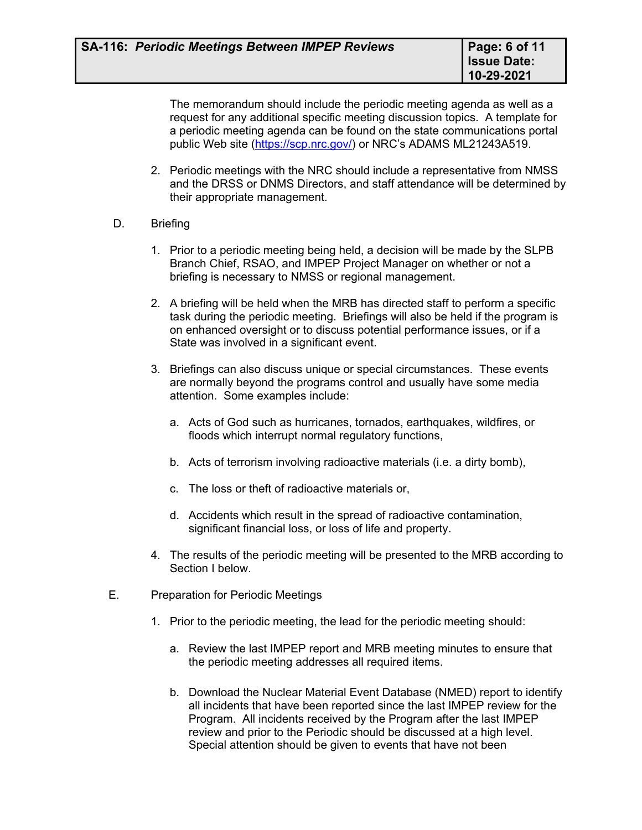The memorandum should include the periodic meeting agenda as well as a request for any additional specific meeting discussion topics. A template for a periodic meeting agenda can be found on the state communications portal public Web site [\(https://scp.nrc.gov/\)](https://scp.nrc.gov/) or NRC's ADAMS ML21243A519.

2. Periodic meetings with the NRC should include a representative from NMSS and the DRSS or DNMS Directors, and staff attendance will be determined by their appropriate management.

# D. Briefing

- 1. Prior to a periodic meeting being held, a decision will be made by the SLPB Branch Chief, RSAO, and IMPEP Project Manager on whether or not a briefing is necessary to NMSS or regional management.
- 2. A briefing will be held when the MRB has directed staff to perform a specific task during the periodic meeting. Briefings will also be held if the program is on enhanced oversight or to discuss potential performance issues, or if a State was involved in a significant event.
- 3. Briefings can also discuss unique or special circumstances. These events are normally beyond the programs control and usually have some media attention. Some examples include:
	- a. Acts of God such as hurricanes, tornados, earthquakes, wildfires, or floods which interrupt normal regulatory functions,
	- b. Acts of terrorism involving radioactive materials (i.e. a dirty bomb),
	- c. The loss or theft of radioactive materials or,
	- d. Accidents which result in the spread of radioactive contamination, significant financial loss, or loss of life and property.
- 4. The results of the periodic meeting will be presented to the MRB according to Section I below.
- E. Preparation for Periodic Meetings
	- 1. Prior to the periodic meeting, the lead for the periodic meeting should:
		- a. Review the last IMPEP report and MRB meeting minutes to ensure that the periodic meeting addresses all required items.
		- b. Download the Nuclear Material Event Database (NMED) report to identify all incidents that have been reported since the last IMPEP review for the Program. All incidents received by the Program after the last IMPEP review and prior to the Periodic should be discussed at a high level. Special attention should be given to events that have not been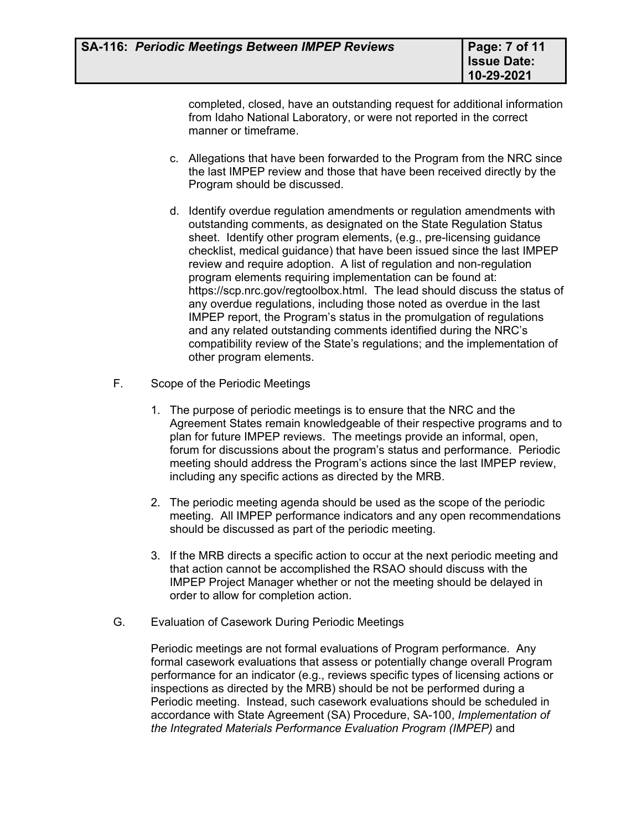completed, closed, have an outstanding request for additional information from Idaho National Laboratory, or were not reported in the correct manner or timeframe.

- c. Allegations that have been forwarded to the Program from the NRC since the last IMPEP review and those that have been received directly by the Program should be discussed.
- d. Identify overdue regulation amendments or regulation amendments with outstanding comments, as designated on the State Regulation Status sheet. Identify other program elements, (e.g., pre-licensing guidance checklist, medical guidance) that have been issued since the last IMPEP review and require adoption. A list of regulation and non-regulation program elements requiring implementation can be found at: [https://scp.nrc.gov/regtoolbox.html.](https://scp.nrc.gov/regtoolbox.html) The lead should discuss the status of any overdue regulations, including those noted as overdue in the last IMPEP report, the Program's status in the promulgation of regulations and any related outstanding comments identified during the NRC's compatibility review of the State's regulations; and the implementation of other program elements.
- F. Scope of the Periodic Meetings
	- 1. The purpose of periodic meetings is to ensure that the NRC and the Agreement States remain knowledgeable of their respective programs and to plan for future IMPEP reviews. The meetings provide an informal, open, forum for discussions about the program's status and performance. Periodic meeting should address the Program's actions since the last IMPEP review, including any specific actions as directed by the MRB.
	- 2. The periodic meeting agenda should be used as the scope of the periodic meeting. All IMPEP performance indicators and any open recommendations should be discussed as part of the periodic meeting.
	- 3. If the MRB directs a specific action to occur at the next periodic meeting and that action cannot be accomplished the RSAO should discuss with the IMPEP Project Manager whether or not the meeting should be delayed in order to allow for completion action.
- G. Evaluation of Casework During Periodic Meetings

Periodic meetings are not formal evaluations of Program performance. Any formal casework evaluations that assess or potentially change overall Program performance for an indicator (e.g., reviews specific types of licensing actions or inspections as directed by the MRB) should be not be performed during a Periodic meeting. Instead, such casework evaluations should be scheduled in accordance with State Agreement (SA) Procedure, SA-100, *Implementation of the Integrated Materials Performance Evaluation Program (IMPEP)* and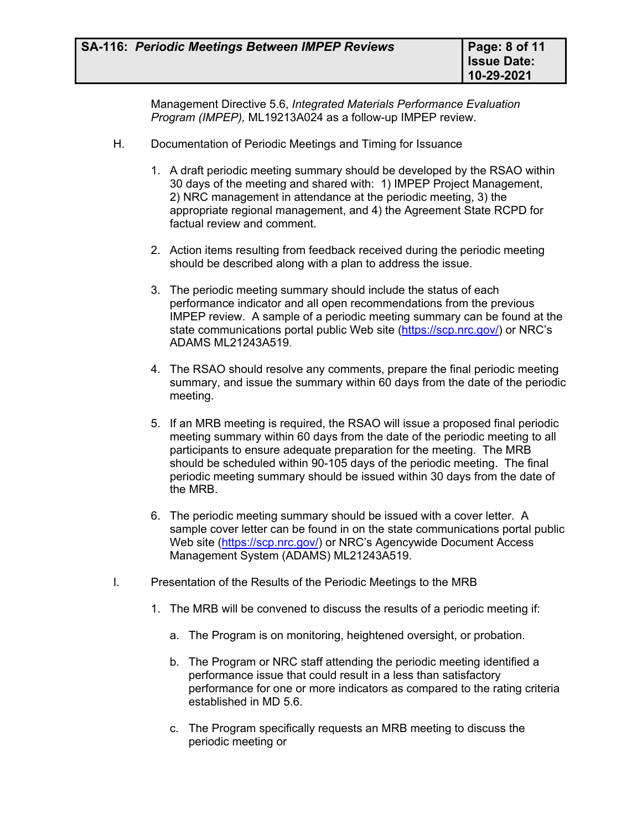Management Directive 5.6, *Integrated Materials Performance Evaluation Program (IMPEP),* ML19213A024 as a follow-up IMPEP review.

- H. Documentation of Periodic Meetings and Timing for Issuance
	- 1. A draft periodic meeting summary should be developed by the RSAO within 30 days of the meeting and shared with: 1) IMPEP Project Management, 2) NRC management in attendance at the periodic meeting, 3) the appropriate regional management, and 4) the Agreement State RCPD for factual review and comment.
	- 2. Action items resulting from feedback received during the periodic meeting should be described along with a plan to address the issue.
	- 3. The periodic meeting summary should include the status of each performance indicator and all open recommendations from the previous IMPEP review. A sample of a periodic meeting summary can be found at the state communications portal public Web site [\(https://scp.nrc.gov/\)](https://scp.nrc.gov/) or NRC's ADAMS ML21243A519.
	- 4. The RSAO should resolve any comments, prepare the final periodic meeting summary, and issue the summary within 60 days from the date of the periodic meeting.
	- 5. If an MRB meeting is required, the RSAO will issue a proposed final periodic meeting summary within 60 days from the date of the periodic meeting to all participants to ensure adequate preparation for the meeting. The MRB should be scheduled within 90-105 days of the periodic meeting. The final periodic meeting summary should be issued within 30 days from the date of the MRB.
	- 6. The periodic meeting summary should be issued with a cover letter. A sample cover letter can be found in on the state communications portal public Web site ([https://scp.nrc.gov/\)](https://scp.nrc.gov/) or NRC's Agencywide Document Access Management System (ADAMS[\) ML21243A519](https://adamsxt.nrc.gov/navigator/AdamsXT/content/downloadContent.faces?objectStoreName=MainLibrary&vsId=%7b967BF2A5-4DF6-C0E0-8EDD-758A0BA00000%7d&ForceBrowserDownloadMgrPrompt=false).
- I. Presentation of the Results of the Periodic Meetings to the MRB
	- 1. The MRB will be convened to discuss the results of a periodic meeting if:
		- a. The Program is on monitoring, heightened oversight, or probation.
		- b. The Program or NRC staff attending the periodic meeting identified a performance issue that could result in a less than satisfactory performance for one or more indicators as compared to the rating criteria established in MD 5.6.
		- c. The Program specifically requests an MRB meeting to discuss the periodic meeting or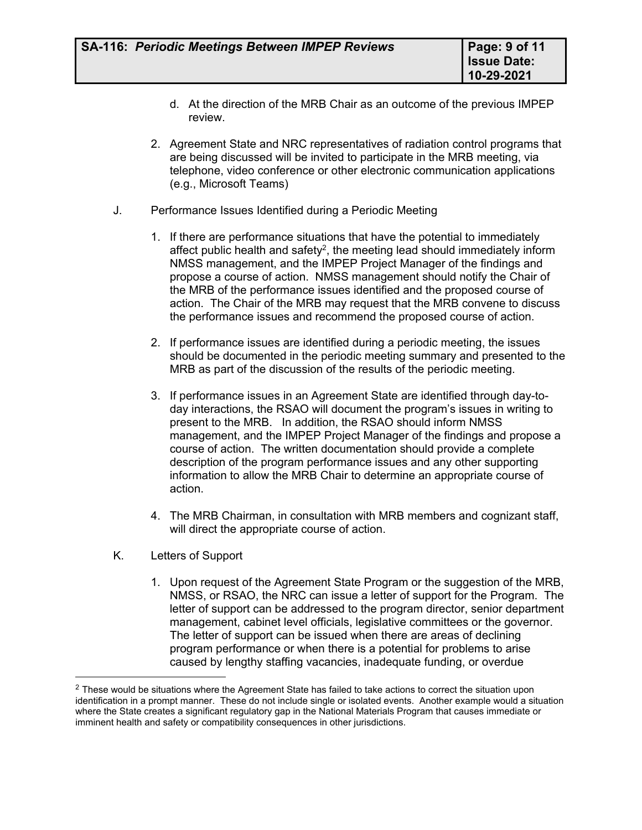- d. At the direction of the MRB Chair as an outcome of the previous IMPEP review.
- 2. Agreement State and NRC representatives of radiation control programs that are being discussed will be invited to participate in the MRB meeting, via telephone, video conference or other electronic communication applications (e.g., Microsoft Teams)
- J. Performance Issues Identified during a Periodic Meeting
	- 1. If there are performance situations that have the potential to immediately affect public health and safety<sup>2</sup>, the meeting lead should immediately inform NMSS management, and the IMPEP Project Manager of the findings and propose a course of action. NMSS management should notify the Chair of the MRB of the performance issues identified and the proposed course of action. The Chair of the MRB may request that the MRB convene to discuss the performance issues and recommend the proposed course of action.
	- 2. If performance issues are identified during a periodic meeting, the issues should be documented in the periodic meeting summary and presented to the MRB as part of the discussion of the results of the periodic meeting.
	- 3. If performance issues in an Agreement State are identified through day-today interactions, the RSAO will document the program's issues in writing to present to the MRB. In addition, the RSAO should inform NMSS management, and the IMPEP Project Manager of the findings and propose a course of action. The written documentation should provide a complete description of the program performance issues and any other supporting information to allow the MRB Chair to determine an appropriate course of action.
	- 4. The MRB Chairman, in consultation with MRB members and cognizant staff, will direct the appropriate course of action.
- K. Letters of Support
	- 1. Upon request of the Agreement State Program or the suggestion of the MRB, NMSS, or RSAO, the NRC can issue a letter of support for the Program. The letter of support can be addressed to the program director, senior department management, cabinet level officials, legislative committees or the governor. The letter of support can be issued when there are areas of declining program performance or when there is a potential for problems to arise caused by lengthy staffing vacancies, inadequate funding, or overdue

<sup>&</sup>lt;sup>2</sup> These would be situations where the Agreement State has failed to take actions to correct the situation upon identification in a prompt manner. These do not include single or isolated events. Another example would a situation where the State creates a significant regulatory gap in the National Materials Program that causes immediate or imminent health and safety or compatibility consequences in other jurisdictions.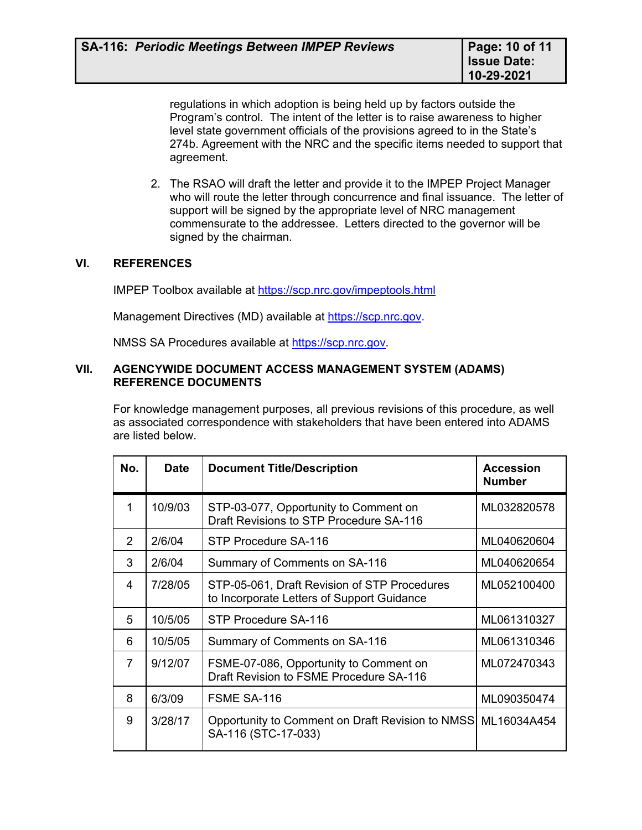regulations in which adoption is being held up by factors outside the Program's control. The intent of the letter is to raise awareness to higher level state government officials of the provisions agreed to in the State's 274b. Agreement with the NRC and the specific items needed to support that agreement.

2. The RSAO will draft the letter and provide it to the IMPEP Project Manager who will route the letter through concurrence and final issuance. The letter of support will be signed by the appropriate level of NRC management commensurate to the addressee. Letters directed to the governor will be signed by the chairman.

# **VI. REFERENCES**

IMPEP Toolbox available at<https://scp.nrc.gov/impeptools.html>

Management Directives (MD) available at <https://scp.nrc.gov>.

NMSS SA Procedures available at https://scp.nrc.gov.

#### **VII. AGENCYWIDE DOCUMENT ACCESS MANAGEMENT SYSTEM (ADAMS) REFERENCE DOCUMENTS**

For knowledge management purposes, all previous revisions of this procedure, as well as associated correspondence with stakeholders that have been entered into ADAMS are listed below.

| No.            | <b>Date</b> | <b>Document Title/Description</b>                                                          | <b>Accession</b><br><b>Number</b> |
|----------------|-------------|--------------------------------------------------------------------------------------------|-----------------------------------|
|                | 10/9/03     | STP-03-077, Opportunity to Comment on<br>Draft Revisions to STP Procedure SA-116           | ML032820578                       |
| $\mathcal{P}$  | 2/6/04      | STP Procedure SA-116                                                                       | ML040620604                       |
| 3              | 2/6/04      | Summary of Comments on SA-116                                                              | ML040620654                       |
| 4              | 7/28/05     | STP-05-061, Draft Revision of STP Procedures<br>to Incorporate Letters of Support Guidance | ML052100400                       |
| 5              | 10/5/05     | STP Procedure SA-116                                                                       | ML061310327                       |
| 6              | 10/5/05     | Summary of Comments on SA-116                                                              | ML061310346                       |
| $\overline{7}$ | 9/12/07     | FSME-07-086, Opportunity to Comment on<br>Draft Revision to FSME Procedure SA-116          | ML072470343                       |
| 8              | 6/3/09      | FSME SA-116                                                                                | ML090350474                       |
| 9              | 3/28/17     | Opportunity to Comment on Draft Revision to NMSS ML16034A454<br>SA-116 (STC-17-033)        |                                   |